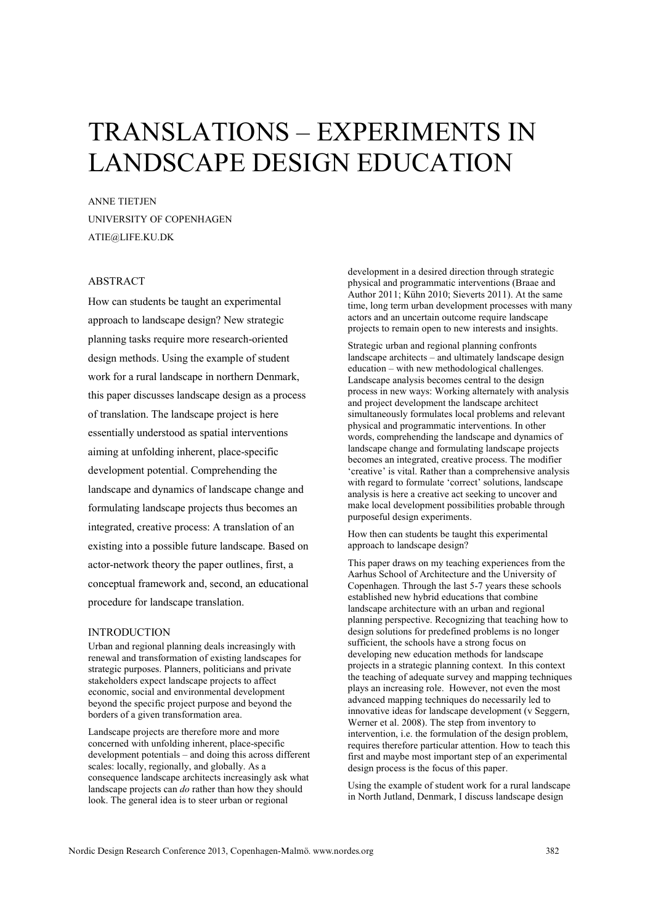# TRANSLATIONS – EXPERIMENTS IN LANDSCAPE DESIGN EDUCATION

ANNE TIETJEN UNIVERSITY OF COPENHAGEN ATIE@LIFE.KU.DK

## ABSTRACT

How can students be taught an experimental approach to landscape design? New strategic planning tasks require more research-oriented design methods. Using the example of student work for a rural landscape in northern Denmark, this paper discusses landscape design as a process of translation. The landscape project is here essentially understood as spatial interventions aiming at unfolding inherent, place-specific development potential. Comprehending the landscape and dynamics of landscape change and formulating landscape projects thus becomes an integrated, creative process: A translation of an existing into a possible future landscape. Based on actor-network theory the paper outlines, first, a conceptual framework and, second, an educational procedure for landscape translation.

### INTRODUCTION

Urban and regional planning deals increasingly with renewal and transformation of existing landscapes for strategic purposes. Planners, politicians and private stakeholders expect landscape projects to affect economic, social and environmental development beyond the specific project purpose and beyond the borders of a given transformation area.

Landscape projects are therefore more and more concerned with unfolding inherent, place-specific development potentials – and doing this across different scales: locally, regionally, and globally. As a consequence landscape architects increasingly ask what landscape projects can *do* rather than how they should look. The general idea is to steer urban or regional

development in a desired direction through strategic physical and programmatic interventions (Braae and Author 2011; Kühn 2010; Sieverts 2011). At the same time, long term urban development processes with many actors and an uncertain outcome require landscape projects to remain open to new interests and insights.

Strategic urban and regional planning confronts landscape architects – and ultimately landscape design education – with new methodological challenges. Landscape analysis becomes central to the design process in new ways: Working alternately with analysis and project development the landscape architect simultaneously formulates local problems and relevant physical and programmatic interventions. In other words, comprehending the landscape and dynamics of landscape change and formulating landscape projects becomes an integrated, creative process. The modifier 'creative' is vital. Rather than a comprehensive analysis with regard to formulate 'correct' solutions, landscape analysis is here a creative act seeking to uncover and make local development possibilities probable through purposeful design experiments.

How then can students be taught this experimental approach to landscape design?

This paper draws on my teaching experiences from the Aarhus School of Architecture and the University of Copenhagen. Through the last 5-7 years these schools established new hybrid educations that combine landscape architecture with an urban and regional planning perspective. Recognizing that teaching how to design solutions for predefined problems is no longer sufficient, the schools have a strong focus on developing new education methods for landscape projects in a strategic planning context. In this context the teaching of adequate survey and mapping techniques plays an increasing role. However, not even the most advanced mapping techniques do necessarily led to innovative ideas for landscape development (v Seggern, Werner et al. 2008). The step from inventory to intervention, i.e. the formulation of the design problem, requires therefore particular attention. How to teach this first and maybe most important step of an experimental design process is the focus of this paper.

Using the example of student work for a rural landscape in North Jutland, Denmark, I discuss landscape design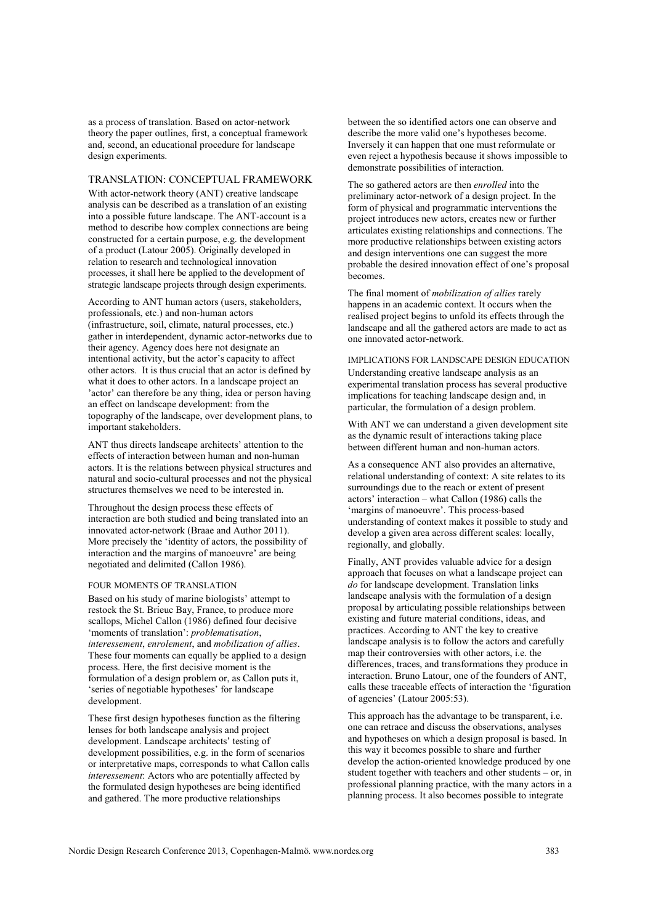as a process of translation. Based on actor-network theory the paper outlines, first, a conceptual framework and, second, an educational procedure for landscape design experiments.

## TRANSLATION: CONCEPTUAL FRAMEWORK

With actor-network theory (ANT) creative landscape analysis can be described as a translation of an existing into a possible future landscape. The ANT-account is a method to describe how complex connections are being constructed for a certain purpose, e.g. the development of a product (Latour 2005). Originally developed in relation to research and technological innovation processes, it shall here be applied to the development of strategic landscape projects through design experiments.

According to ANT human actors (users, stakeholders, professionals, etc.) and non-human actors (infrastructure, soil, climate, natural processes, etc.) gather in interdependent, dynamic actor-networks due to their agency. Agency does here not designate an intentional activity, but the actor's capacity to affect other actors. It is thus crucial that an actor is defined by what it does to other actors. In a landscape project an 'actor' can therefore be any thing, idea or person having an effect on landscape development: from the topography of the landscape, over development plans, to important stakeholders.

ANT thus directs landscape architects' attention to the effects of interaction between human and non-human actors. It is the relations between physical structures and natural and socio-cultural processes and not the physical structures themselves we need to be interested in.

Throughout the design process these effects of interaction are both studied and being translated into an innovated actor-network (Braae and Author 2011). More precisely the 'identity of actors, the possibility of interaction and the margins of manoeuvre' are being negotiated and delimited (Callon 1986).

#### FOUR MOMENTS OF TRANSLATION

Based on his study of marine biologists' attempt to restock the St. Brieuc Bay, France, to produce more scallops, Michel Callon (1986) defined four decisive 'moments of translation': *problematisation*, *interessement*, *enrolement*, and *mobilization of allies*. These four moments can equally be applied to a design process. Here, the first decisive moment is the formulation of a design problem or, as Callon puts it, 'series of negotiable hypotheses' for landscape development.

These first design hypotheses function as the filtering lenses for both landscape analysis and project development. Landscape architects' testing of development possibilities, e.g. in the form of scenarios or interpretative maps, corresponds to what Callon calls *interessement*: Actors who are potentially affected by the formulated design hypotheses are being identified and gathered. The more productive relationships

between the so identified actors one can observe and describe the more valid one's hypotheses become. Inversely it can happen that one must reformulate or even reject a hypothesis because it shows impossible to demonstrate possibilities of interaction.

The so gathered actors are then *enrolled* into the preliminary actor-network of a design project. In the form of physical and programmatic interventions the project introduces new actors, creates new or further articulates existing relationships and connections. The more productive relationships between existing actors and design interventions one can suggest the more probable the desired innovation effect of one's proposal becomes.

The final moment of *mobilization of allies* rarely happens in an academic context. It occurs when the realised project begins to unfold its effects through the landscape and all the gathered actors are made to act as one innovated actor-network.

#### IMPLICATIONS FOR LANDSCAPE DESIGN EDUCATION Understanding creative landscape analysis as an experimental translation process has several productive implications for teaching landscape design and, in

With ANT we can understand a given development site as the dynamic result of interactions taking place between different human and non-human actors.

particular, the formulation of a design problem.

As a consequence ANT also provides an alternative, relational understanding of context: A site relates to its surroundings due to the reach or extent of present actors' interaction – what Callon (1986) calls the 'margins of manoeuvre'. This process-based understanding of context makes it possible to study and develop a given area across different scales: locally, regionally, and globally.

Finally, ANT provides valuable advice for a design approach that focuses on what a landscape project can *do* for landscape development. Translation links landscape analysis with the formulation of a design proposal by articulating possible relationships between existing and future material conditions, ideas, and practices. According to ANT the key to creative landscape analysis is to follow the actors and carefully map their controversies with other actors, i.e. the differences, traces, and transformations they produce in interaction. Bruno Latour, one of the founders of ANT, calls these traceable effects of interaction the 'figuration of agencies' (Latour 2005:53).

This approach has the advantage to be transparent, i.e. one can retrace and discuss the observations, analyses and hypotheses on which a design proposal is based. In this way it becomes possible to share and further develop the action-oriented knowledge produced by one student together with teachers and other students – or, in professional planning practice, with the many actors in a planning process. It also becomes possible to integrate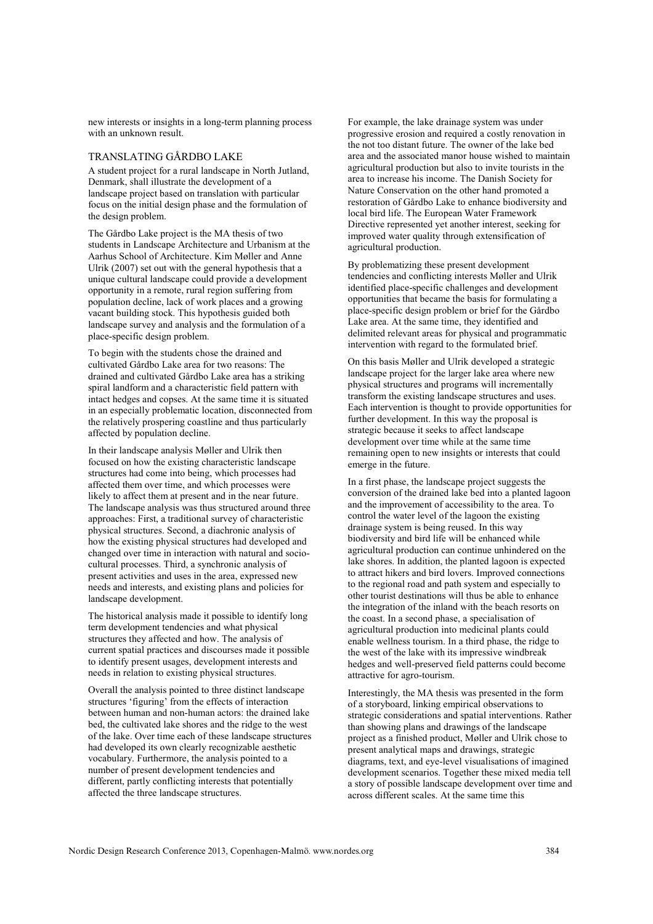new interests or insights in a long-term planning process with an unknown result.

#### TRANSLATING GÅRDBO LAKE

A student project for a rural landscape in North Jutland, Denmark, shall illustrate the development of a landscape project based on translation with particular focus on the initial design phase and the formulation of the design problem.

The Gårdbo Lake project is the MA thesis of two students in Landscape Architecture and Urbanism at the Aarhus School of Architecture. Kim Møller and Anne Ulrik (2007) set out with the general hypothesis that a unique cultural landscape could provide a development opportunity in a remote, rural region suffering from population decline, lack of work places and a growing vacant building stock. This hypothesis guided both landscape survey and analysis and the formulation of a place-specific design problem.

To begin with the students chose the drained and cultivated Gårdbo Lake area for two reasons: The drained and cultivated Gårdbo Lake area has a striking spiral landform and a characteristic field pattern with intact hedges and copses. At the same time it is situated in an especially problematic location, disconnected from the relatively prospering coastline and thus particularly affected by population decline.

In their landscape analysis Møller and Ulrik then focused on how the existing characteristic landscape structures had come into being, which processes had affected them over time, and which processes were likely to affect them at present and in the near future. The landscape analysis was thus structured around three approaches: First, a traditional survey of characteristic physical structures. Second, a diachronic analysis of how the existing physical structures had developed and changed over time in interaction with natural and sociocultural processes. Third, a synchronic analysis of present activities and uses in the area, expressed new needs and interests, and existing plans and policies for landscape development.

The historical analysis made it possible to identify long term development tendencies and what physical structures they affected and how. The analysis of current spatial practices and discourses made it possible to identify present usages, development interests and needs in relation to existing physical structures.

Overall the analysis pointed to three distinct landscape structures 'figuring' from the effects of interaction between human and non-human actors: the drained lake bed, the cultivated lake shores and the ridge to the west of the lake. Over time each of these landscape structures had developed its own clearly recognizable aesthetic vocabulary. Furthermore, the analysis pointed to a number of present development tendencies and different, partly conflicting interests that potentially affected the three landscape structures.

For example, the lake drainage system was under progressive erosion and required a costly renovation in the not too distant future. The owner of the lake bed area and the associated manor house wished to maintain agricultural production but also to invite tourists in the area to increase his income. The Danish Society for Nature Conservation on the other hand promoted a restoration of Gårdbo Lake to enhance biodiversity and local bird life. The European Water Framework Directive represented yet another interest, seeking for improved water quality through extensification of agricultural production.

By problematizing these present development tendencies and conflicting interests Møller and Ulrik identified place-specific challenges and development opportunities that became the basis for formulating a place-specific design problem or brief for the Gårdbo Lake area. At the same time, they identified and delimited relevant areas for physical and programmatic intervention with regard to the formulated brief.

On this basis Møller and Ulrik developed a strategic landscape project for the larger lake area where new physical structures and programs will incrementally transform the existing landscape structures and uses. Each intervention is thought to provide opportunities for further development. In this way the proposal is strategic because it seeks to affect landscape development over time while at the same time remaining open to new insights or interests that could emerge in the future.

In a first phase, the landscape project suggests the conversion of the drained lake bed into a planted lagoon and the improvement of accessibility to the area. To control the water level of the lagoon the existing drainage system is being reused. In this way biodiversity and bird life will be enhanced while agricultural production can continue unhindered on the lake shores. In addition, the planted lagoon is expected to attract hikers and bird lovers. Improved connections to the regional road and path system and especially to other tourist destinations will thus be able to enhance the integration of the inland with the beach resorts on the coast. In a second phase, a specialisation of agricultural production into medicinal plants could enable wellness tourism. In a third phase, the ridge to the west of the lake with its impressive windbreak hedges and well-preserved field patterns could become attractive for agro-tourism.

Interestingly, the MA thesis was presented in the form of a storyboard, linking empirical observations to strategic considerations and spatial interventions. Rather than showing plans and drawings of the landscape project as a finished product, Møller and Ulrik chose to present analytical maps and drawings, strategic diagrams, text, and eye-level visualisations of imagined development scenarios. Together these mixed media tell a story of possible landscape development over time and across different scales. At the same time this